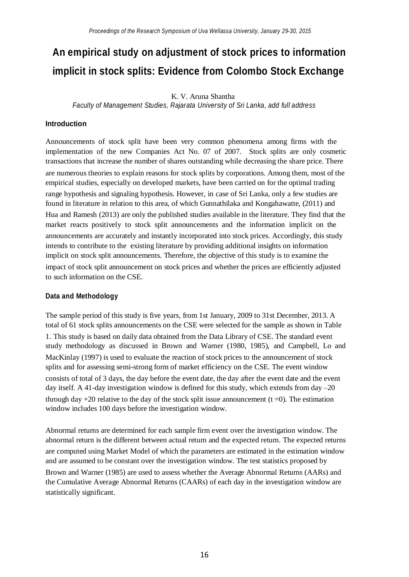# **An empirical study on adjustment of stock prices to information implicit in stock splits: Evidence from Colombo Stock Exchange**

## K. V. Aruna Shantha

*Faculty of Management Studies, Rajarata University of Sri Lanka, add full address*

#### **Introduction**

Announcements of stock split have been very common phenomena among firms with the implementation of the new Companies Act No. 07 of 2007. Stock splits are only cosmetic transactions that increase the number of shares outstanding while decreasing the share price. There are numerous theories to explain reasons for stock splits by corporations. Among them, most of the empirical studies, especially on developed markets, have been carried on for the optimal trading range hypothesis and signaling hypothesis. However, in case of Sri Lanka, only a few studies are found in literature in relation to this area, of which Gunnathilaka and Kongahawatte, (2011) and Hua and Ramesh (2013) are only the published studies available in the literature. They find that the market reacts positively to stock split announcements and the information implicit on the announcements are accurately and instantly incorporated into stock prices. Accordingly, this study intends to contribute to the existing literature by providing additional insights on information implicit on stock split announcements. Therefore, the objective of this study is to examine the impact of stock split announcement on stock prices and whether the prices are efficiently adjusted to such information on the CSE.

#### **Data and Methodology**

The sample period of this study is five years, from 1st January, 2009 to 31st December, 2013. A total of 61 stock splits announcements on the CSE were selected for the sample as shown in Table 1. This study is based on daily data obtained from the Data Library of CSE. The standard event study methodology as discussed in Brown and Warner (1980, 1985), and Campbell, Lo and MacKinlay (1997) is used to evaluate the reaction of stock prices to the announcement of stock splits and for assessing semi-strong form of market efficiency on the CSE. The event window consists of total of 3 days, the day before the event date, the day after the event date and the event day itself. A 41-day investigation window is defined for this study, which extends from day –20 through day  $+20$  relative to the day of the stock split issue announcement (t =0). The estimation window includes 100 days before the investigation window.

Abnormal returns are determined for each sample firm event over the investigation window. The abnormal return is the different between actual return and the expected return. The expected returns are computed using Market Model of which the parameters are estimated in the estimation window and are assumed to be constant over the investigation window. The test statistics proposed by Brown and Warner (1985) are used to assess whether the Average Abnormal Returns (AARs) and the Cumulative Average Abnormal Returns (CAARs) of each day in the investigation window are statistically significant.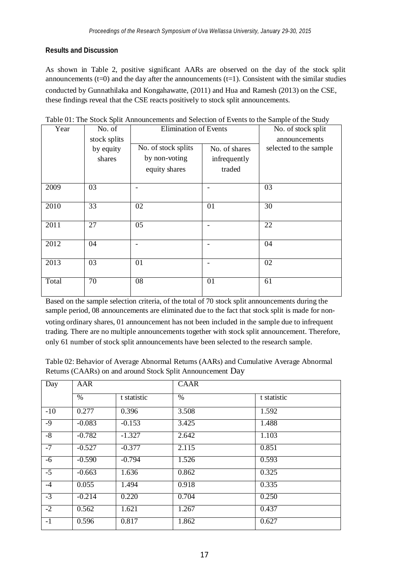## **Results and Discussion**

As shown in Table 2, positive significant AARs are observed on the day of the stock split announcements  $(t=0)$  and the day after the announcements  $(t=1)$ . Consistent with the similar studies conducted by Gunnathilaka and Kongahawatte, (2011) and Hua and Ramesh (2013) on the CSE, these findings reveal that the CSE reacts positively to stock split announcements.

| Year  | No. of       | <b>Elimination of Events</b> |               | No. of stock split     |
|-------|--------------|------------------------------|---------------|------------------------|
|       | stock splits |                              |               | announcements          |
|       | by equity    | No. of stock splits          | No. of shares | selected to the sample |
|       | shares       | by non-voting                | infrequently  |                        |
|       |              | equity shares                | traded        |                        |
| 2009  | 03           |                              |               | 03                     |
|       |              |                              |               |                        |
| 2010  | 33           | 02                           | 01            | 30                     |
|       |              |                              |               |                        |
| 2011  | 27           | 05                           |               | 22                     |
|       |              |                              |               |                        |
| 2012  | 04           |                              |               | 04                     |
|       |              |                              |               |                        |
| 2013  | 03           | 01                           |               | 02                     |
|       |              |                              |               |                        |
| Total | 70           | 08                           | 01            | 61                     |
|       |              |                              |               |                        |

Table 01: The Stock Split Announcements and Selection of Events to the Sample of the Study

Based on the sample selection criteria, of the total of 70 stock split announcements during the sample period, 08 announcements are eliminated due to the fact that stock split is made for nonvoting ordinary shares, 01 announcement has not been included in the sample due to infrequent trading. There are no multiple announcements together with stock split announcement. Therefore, only 61 number of stock split announcements have been selected to the research sample.

| Table 02: Behavior of Average Abnormal Returns (AARs) and Cumulative Average Abnormal |
|---------------------------------------------------------------------------------------|
| Returns (CAARs) on and around Stock Split Announcement Day                            |

| Day   | AAR      |             | <b>CAAR</b> |             |
|-------|----------|-------------|-------------|-------------|
|       | $\%$     | t statistic | $\%$        | t statistic |
| $-10$ | 0.277    | 0.396       | 3.508       | 1.592       |
| $-9$  | $-0.083$ | $-0.153$    | 3.425       | 1.488       |
| $-8$  | $-0.782$ | $-1.327$    | 2.642       | 1.103       |
| $-7$  | $-0.527$ | $-0.377$    | 2.115       | 0.851       |
| -6    | $-0.590$ | $-0.794$    | 1.526       | 0.593       |
| $-5$  | $-0.663$ | 1.636       | 0.862       | 0.325       |
| $-4$  | 0.055    | 1.494       | 0.918       | 0.335       |
| $-3$  | $-0.214$ | 0.220       | 0.704       | 0.250       |
| $-2$  | 0.562    | 1.621       | 1.267       | 0.437       |
| $-1$  | 0.596    | 0.817       | 1.862       | 0.627       |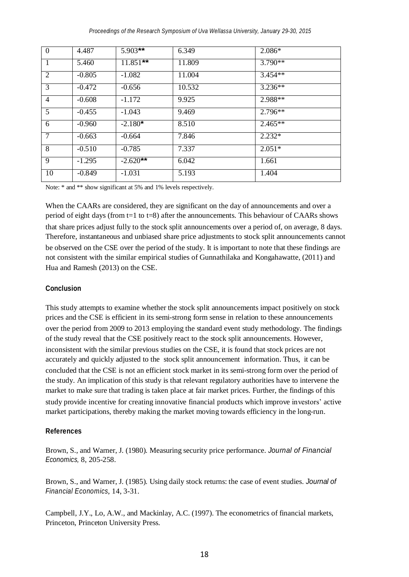| $\theta$       | 4.487    | $5.903***$ | 6.349  | $2.086*$  |
|----------------|----------|------------|--------|-----------|
| $\overline{1}$ | 5.460    | $11.851**$ | 11.809 | $3.790**$ |
| $\overline{2}$ | $-0.805$ | $-1.082$   | 11.004 | $3.454**$ |
| 3              | $-0.472$ | $-0.656$   | 10.532 | $3.236**$ |
| $\overline{4}$ | $-0.608$ | $-1.172$   | 9.925  | 2.988**   |
| 5              | $-0.455$ | $-1.043$   | 9.469  | $2.796**$ |
| 6              | $-0.960$ | $-2.180*$  | 8.510  | $2.465**$ |
| $\tau$         | $-0.663$ | $-0.664$   | 7.846  | $2.232*$  |
| 8              | $-0.510$ | $-0.785$   | 7.337  | $2.051*$  |
| 9              | $-1.295$ | $-2.620**$ | 6.042  | 1.661     |
| 10             | $-0.849$ | $-1.031$   | 5.193  | 1.404     |

Note:  $*$  and  $**$  show significant at 5% and 1% levels respectively.

When the CAARs are considered, they are significant on the day of announcements and over a period of eight days (from t=1 to t=8) after the announcements. This behaviour of CAARs shows that share prices adjust fully to the stock split announcements over a period of, on average, 8 days. Therefore, instantaneous and unbiased share price adjustments to stock split announcements cannot be observed on the CSE over the period of the study. It is important to note that these findings are not consistent with the similar empirical studies of Gunnathilaka and Kongahawatte, (2011) and Hua and Ramesh (2013) on the CSE.

#### **Conclusion**

This study attempts to examine whether the stock split announcements impact positively on stock prices and the CSE is efficient in its semi-strong form sense in relation to these announcements over the period from 2009 to 2013 employing the standard event study methodology. The findings of the study reveal that the CSE positively react to the stock split announcements. However, inconsistent with the similar previous studies on the CSE, it is found that stock prices are not accurately and quickly adjusted to the stock split announcement information. Thus, it can be concluded that the CSE is not an efficient stock market in its semi-strong form over the period of the study. An implication of this study is that relevant regulatory authorities have to intervene the market to make sure that trading is taken place at fair market prices. Further, the findings of this study provide incentive for creating innovative financial products which improve investors' active market participations, thereby making the market moving towards efficiency in the long-run.

## **References**

Brown, S., and Warner, J. (1980). Measuring security price performance. *Journal of Financial Economics,* 8, 205-258.

Brown, S., and Warner, J. (1985). Using daily stock returns: the case of event studies. *Journal of Financial Economics*, 14, 3-31.

Campbell, J.Y., Lo, A.W., and Mackinlay, A.C. (1997). The econometrics of financial markets, Princeton, Princeton University Press.